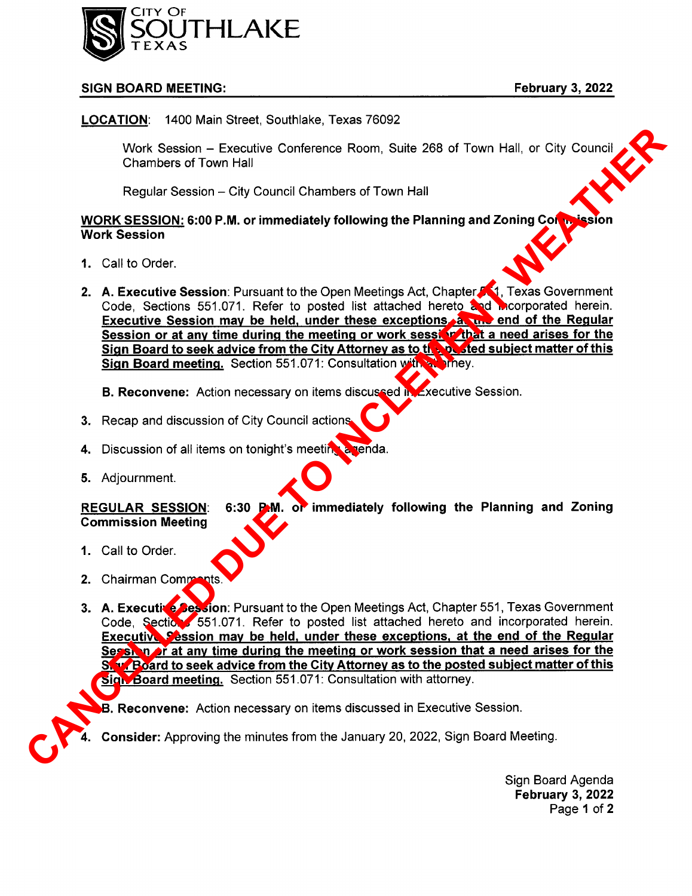

## SIGN BOARD MEETING: External state of the state of the February 3, 2022

LOCATION: 1400 Main Street, Southlake, Texas 76092

Work Session — Executive Conference Room, Suite 268 of Town Hall, or City Council Chambers of Town Hall

Regular Session — City Council Chambers of Town Hall

WORK SESSION: 6:00 P.M. or immediately following the Planning and Zoning Compission Work Session

- 1. Call to Order.
- 2. A. Executive Session: Pursuant to the Open Meetings Act, Chapter 561, Texas Government Code, Sections 551.071. Refer to posted list attached hereto and mcorporated herein. Executive Session may be held, under these exceptions, at the end of the Regular Session or at any time during the meeting or work session that a need arises for the Sign Board to seek advice from the City Attorney as to the posted subject matter of this Sign Board meeting. Section 551.071: Consultation with attacher.

B. Reconvene: Action necessary on items discussed in Executive Session.

- 3. Recap and discussion of City Council actions.
- 4. Discussion of all items on tonight's meeting a renda.
- 5. Adjournment.

REGULAR SESSION: 6:30 P.M. of immediately following the Planning and Zoning Commission Meeting

- 1. Call to Order.
- 2. Chairman Comments.
- 3. A. Executive Session: Pursuant to the Open Meetings Act, Chapter 551, Texas Government Code, Sections 551.071. Refer to posted list attached hereto and incorporated herein. Executive Session may be held, under these exceptions, at the end of the Regular Session or at any time during the meeting or work session that a need arises for the Sian Board to seek advice from the City Attorney as to the posted subject matter of this **Sign Board meeting.** Section 551.071: Consultation with attorney. Work Sension – Executive Conference Room, Suite 289 of Town Hall, or City Council<br>
Channels of Town Hall<br>
Regular Session – City Council Chambers of Town Hall<br>
WORK SESSION: 609 P.M. or immediately following the Planning a

**B. Reconvene:** Action necessary on items discussed in Executive Session.

Consider: Approving the minutes from the January 20, 2022, Sign Board Meeting.

Sign Board Agenda February 3, 2022 Page <sup>1</sup> of 2